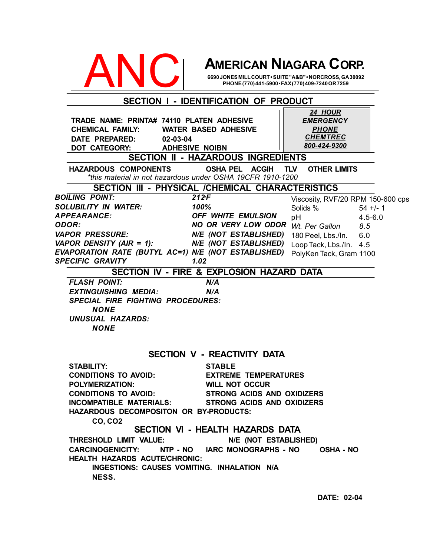

# **AMERICAN NIAGARA CORP.**

#### **HAZARDOUS COMPONENTS OSHA PEL ACGIH TLV OTHER LIMITS SECTION II - HAZARDOUS INGREDIENTS SECTION III - PHYSICAL /CHEMICAL CHARACTERISTICS BOILING POINT:** 212F *SOLUBILITY IN WATER: 100% APPEARANCE: OFF WHITE EMULSION ODOR: NO OR VERY LOW ODOR VAPOR PRESSURE: N/E (NOT ESTABLISHED) VAPOR DENSITY (AIR = 1): N/E (NOT ESTABLISHED) EVAPORATION RATE (BUTYL AC=1) N/E (NOT ESTABLISHED) SPECIFIC GRAVITY 1.02* **SECTION IV - FIRE & EXPLOSION HAZARD DATA** *FLASH POINT: N/A EXTINGUISHING MEDIA: N/A SPECIAL FIRE FIGHTING PROCEDURES: NONE UNUSUAL HAZARDS: NONE* **SECTION V - REACTIVITY DATA STABILITY: STABLE CONDITIONS TO AVOID: EXTREME TEMPERATURES POLYMERIZATION: WILL NOT OCCUR CONDITIONS TO AVOID: STRONG ACIDS AND OXIDIZERS INCOMPATIBLE MATERIALS: STRONG ACIDS AND OXIDIZERS HAZARDOUS DECOMPOSITON OR BY-PRODUCTS: CO, CO2 SECTION I - IDENTIFICATION OF PRODUCT TRADE NAME: PRINTA# 74110 PLATEN ADHESIVE CHEMICAL FAMILY: WATER BASED ADHESIVE DATE PREPARED: 02-03-04 DOT CATEGORY: ADHESIVE NOIBN SECTION VI - HEALTH HAZARDS DATA THRESHOLD LIMIT VALUE: N/E (NOT ESTABLISHED) CARCINOGENICITY: NTP - NO IARC MONOGRAPHS - NO OSHA - NO HEALTH HAZARDS ACUTE/CHRONIC: INGESTIONS: CAUSES VOMITING. INHALATION N/A NESS.** *24 HOUR EMERGENCY PHONE CHEMTREC 800-424-9300* Viscosity, RVF/20 RPM 150-600 cps Solids % 54 +/- 1 pH 4.5-6.0 *Wt. Per Gallon 8.5* 180 Peel, Lbs./In. 6.0 Loop Tack, Lbs./In. 4.5 PolyKen Tack, Gram 1100 *\*this material in not hazardous under OSHA 19CFR 1910-1200*

**DATE: 02-04**